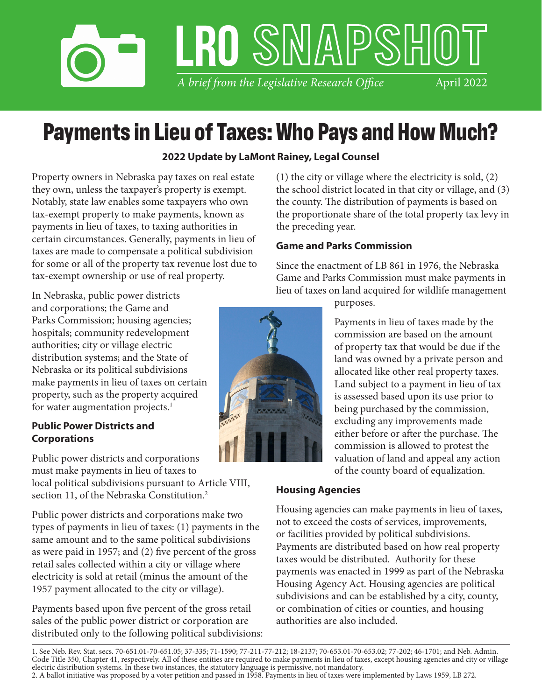# *A brief from the Legislative Research Office* LRO SMAPSHI April 2022

# **Payments in Lieu of Taxes: Who Pays and How Much?**

# **2022 Update by LaMont Rainey, Legal Counsel**

Property owners in Nebraska pay taxes on real estate they own, unless the taxpayer's property is exempt. Notably, state law enables some taxpayers who own tax-exempt property to make payments, known as payments in lieu of taxes, to taxing authorities in certain circumstances. Generally, payments in lieu of taxes are made to compensate a political subdivision for some or all of the property tax revenue lost due to tax-exempt ownership or use of real property.

In Nebraska, public power districts and corporations; the Game and Parks Commission; housing agencies; hospitals; community redevelopment authorities; city or village electric distribution systems; and the State of Nebraska or its political subdivisions make payments in lieu of taxes on certain property, such as the property acquired for water augmentation projects. $<sup>1</sup>$ </sup>

### **Public Power Districts and Corporations**

Public power districts and corporations must make payments in lieu of taxes to local political subdivisions pursuant to Article VIII, section 11, of the Nebraska Constitution.<sup>2</sup>

Public power districts and corporations make two types of payments in lieu of taxes: (1) payments in the same amount and to the same political subdivisions as were paid in 1957; and (2) five percent of the gross retail sales collected within a city or village where electricity is sold at retail (minus the amount of the 1957 payment allocated to the city or village).

Payments based upon five percent of the gross retail sales of the public power district or corporation are distributed only to the following political subdivisions: (1) the city or village where the electricity is sold, (2) the school district located in that city or village, and (3) the county. The distribution of payments is based on the proportionate share of the total property tax levy in the preceding year.

### **Game and Parks Commission**

Since the enactment of LB 861 in 1976, the Nebraska Game and Parks Commission must make payments in lieu of taxes on land acquired for wildlife management

purposes.

Payments in lieu of taxes made by the commission are based on the amount of property tax that would be due if the land was owned by a private person and allocated like other real property taxes. Land subject to a payment in lieu of tax is assessed based upon its use prior to being purchased by the commission, excluding any improvements made either before or after the purchase. The commission is allowed to protest the valuation of land and appeal any action of the county board of equalization.

### **Housing Agencies**

Housing agencies can make payments in lieu of taxes, not to exceed the costs of services, improvements, or facilities provided by political subdivisions. Payments are distributed based on how real property taxes would be distributed. Authority for these payments was enacted in 1999 as part of the Nebraska Housing Agency Act. Housing agencies are political subdivisions and can be established by a city, county, or combination of cities or counties, and housing authorities are also included.

1. See Neb. Rev. Stat. secs. 70-651.01-70-651.05; 37-335; 71-1590; 77-211-77-212; 18-2137; 70-653.01-70-653.02; 77-202; 46-1701; and Neb. Admin. Code Title 350, Chapter 41, respectively. All of these entities are required to make payments in lieu of taxes, except housing agencies and city or village electric distribution systems. In these two instances, the statutory language is permissive, not mandatory. 2. A ballot initiative was proposed by a voter petition and passed in 1958. Payments in lieu of taxes were implemented by Laws 1959, LB 272.